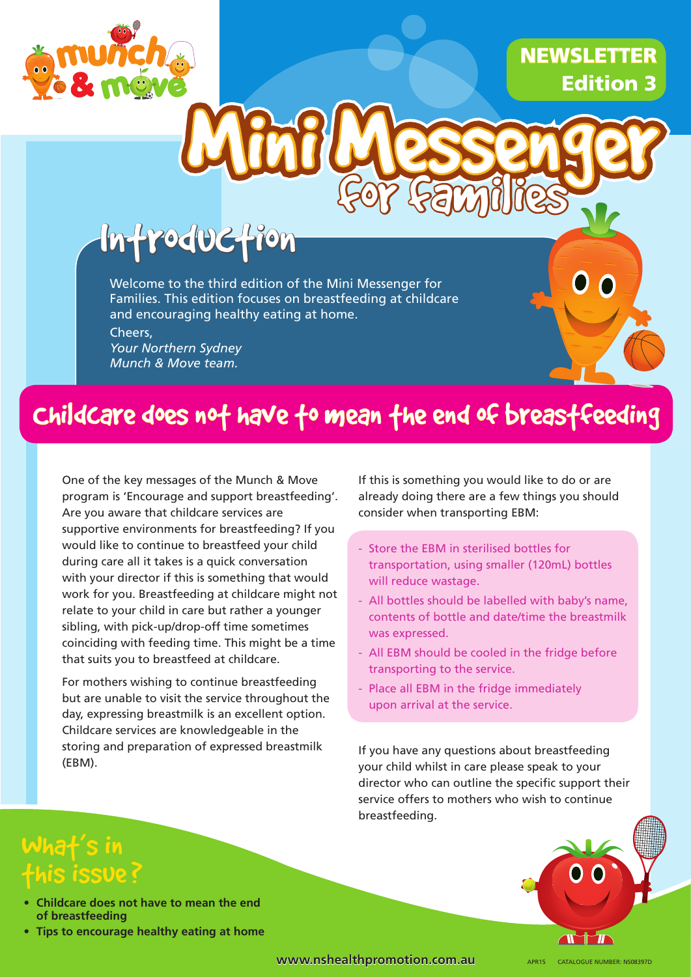

## **NEWSLETTER** Edition 3

# **Poduction**

Welcome to the third edition of the Mini Messenger for Families. This edition focuses on breastfeeding at childcare and encouraging healthy eating at home.

Cheers, *Your Northern Sydney Munch & Move team.*

## Childcare does not have to mean the end of breastfeeding

One of the key messages of the Munch & Move program is 'Encourage and support breastfeeding'. Are you aware that childcare services are supportive environments for breastfeeding? If you would like to continue to breastfeed your child during care all it takes is a quick conversation with your director if this is something that would work for you. Breastfeeding at childcare might not relate to your child in care but rather a younger sibling, with pick-up/drop-off time sometimes coinciding with feeding time. This might be a time that suits you to breastfeed at childcare.

For mothers wishing to continue breastfeeding but are unable to visit the service throughout the day, expressing breastmilk is an excellent option. Childcare services are knowledgeable in the storing and preparation of expressed breastmilk (EBM).

If this is something you would like to do or are already doing there are a few things you should consider when transporting EBM:

for families

- Store the EBM in sterilised bottles for transportation, using smaller (120mL) bottles will reduce wastage.
- All bottles should be labelled with baby's name, contents of bottle and date/time the breastmilk was expressed.
- All EBM should be cooled in the fridge before transporting to the service.
- Place all EBM in the fridge immediately upon arrival at the service.

If you have any questions about breastfeeding your child whilst in care please speak to your director who can outline the specific support their service offers to mothers who wish to continue breastfeeding.

## Wha $f$ 's in his issue?

- **• Childcare does not have to mean the end of breastfeeding**
- **• Tips to encourage healthy eating at home**